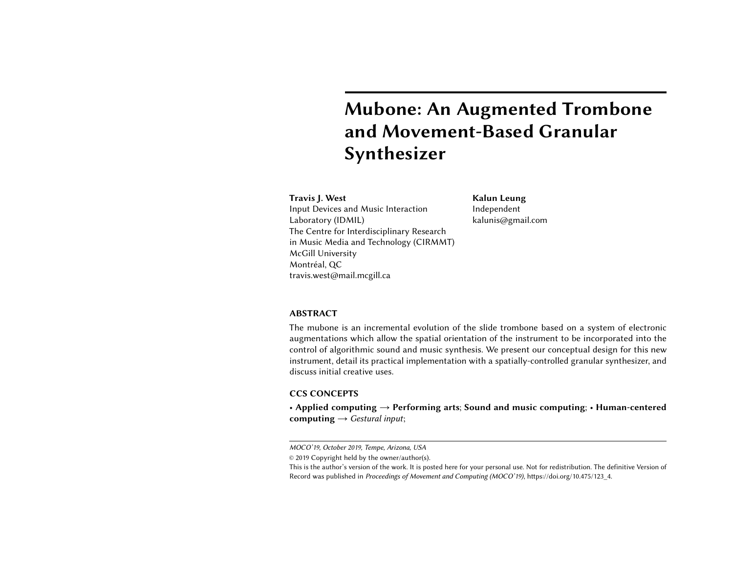# Mubone: An Augmented Trombone and Movement-Based Granular Synthesizer

# <span id="page-0-0"></span>Travis J. West

Input Devices and Music Interaction Laboratory (IDMIL) The Centre for Interdisciplinary Research in Music Media and Technology (CIRMMT) McGill University Montréal, QC travis.west@mail.mcgill.ca

Kalun Leung Independent kalunis@gmail.com

# ABSTRACT

The mubone is an incremental evolution of the slide trombone based on a system of electronic augmentations which allow the spatial orientation of the instrument to be incorporated into the control of algorithmic sound and music synthesis. We present our conceptual design for this new instrument, detail its practical implementation with a spatially-controlled granular synthesizer, and discuss initial creative uses.

### CCS CONCEPTS

• Applied computing  $\rightarrow$  Performing arts; Sound and music computing; • Human-centered computing  $\rightarrow$  Gestural input;

MOCO'19, October 2019, Tempe, Arizona, USA

<sup>©</sup> 2019 Copyright held by the owner/author(s).

This is the author's version of the work. It is posted here for your personal use. Not for redistribution. The definitive Version of Record was published in Proceedings of Movement and Computing (MOCO'19), [https://doi.org/10.475/123\\_4.](https://doi.org/10.475/123_4)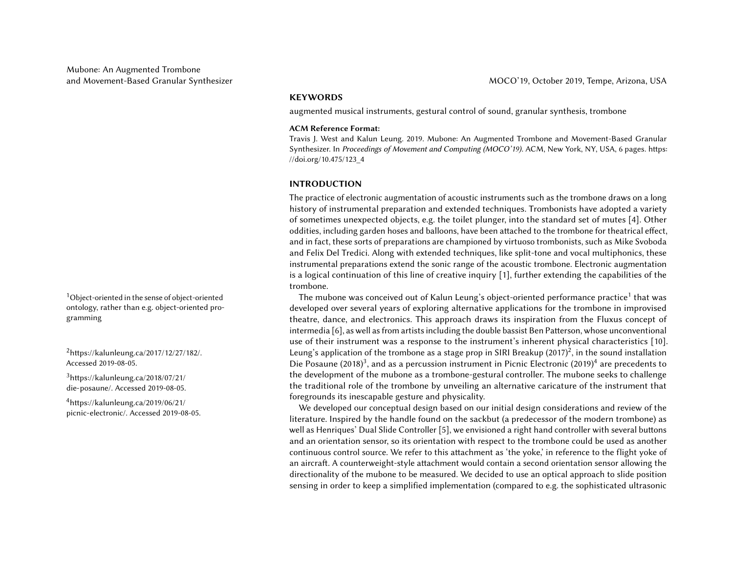ontology, rather than e.g. object-oriented programming

 $3$ [https://kalunleung.ca/2018/07/21/](https://kalunleung.ca/2018/07/21/die-posaune/) [die-posaune/.](https://kalunleung.ca/2018/07/21/die-posaune/) Accessed 2019-08-05.

 $4$ [https://kalunleung.ca/2019/06/21/](https://kalunleung.ca/2019/06/21/picnic-electronic/) [picnic-electronic/.](https://kalunleung.ca/2019/06/21/picnic-electronic/) Accessed 2019-08-05.

# **KEYWORDS**

augmented musical instruments, gestural control of sound, granular synthesis, trombone

#### ACM Reference Format:

Travis J. West and Kalun Leung. 2019. Mubone: An Augmented Trombone and Movement-Based Granular Synthesizer. In Proceedings of Movement and Computing (MOCO'19). ACM, New York, NY, USA, [6](#page-5-0) pages. [https:](https://doi.org/10.475/123_4) [//doi.org/10.475/123\\_4](https://doi.org/10.475/123_4)

#### INTRODUCTION

The practice of electronic augmentation of acoustic instruments such as the trombone draws on a long history of instrumental preparation and extended techniques. Trombonists have adopted a variety of sometimes unexpected objects, e.g. the toilet plunger, into the standard set of mutes [\[4\]](#page-5-1). Other oddities, including garden hoses and balloons, have been attached to the trombone for theatrical effect, and in fact, these sorts of preparations are championed by virtuoso trombonists, such as Mike Svoboda and Felix Del Tredici. Along with extended techniques, like split-tone and vocal multiphonics, these instrumental preparations extend the sonic range of the acoustic trombone. Electronic augmentation is a logical continuation of this line of creative inquiry [\[1\]](#page-5-2), further extending the capabilities of the trombone.

 $1$ Object-oriented in the sense of object-oriented  $10$  The mubone was conceived out of Kalun Leung's object-oriented performance practice  $1$  that was developed over several years of exploring alternative applications for the trombone in improvised theatre, dance, and electronics. This approach draws its inspiration from the Fluxus concept of intermedia [\[6\]](#page-5-3), as well as from artists including the double bassist Ben Patterson, whose unconventional use of their instrument was a response to the instrument's inherent physical characteristics [\[10\]](#page-5-4).  $^2$  $^2$ [https://kalunleung.ca/2017/12/27/182/.](https://kalunleung.ca/2017/12/27/182/) Leung's application of the trombone as a stage prop in SIRI Breakup (2017)<sup>2</sup>, in the sound installation Accessed 2019-08-05. Die Posaune (2018)[3](#page-0-0) , and as a percussion instrument in Picnic Electronic (2019)[4](#page-0-0) are precedents to the development of the mubone as a trombone-gestural controller. The mubone seeks to challenge the traditional role of the trombone by unveiling an alternative caricature of the instrument that foregrounds its inescapable gesture and physicality.

> We developed our conceptual design based on our initial design considerations and review of the literature. Inspired by the handle found on the sackbut (a predecessor of the modern trombone) as well as Henriques' Dual Slide Controller [\[5\]](#page-5-5), we envisioned a right hand controller with several buttons and an orientation sensor, so its orientation with respect to the trombone could be used as another continuous control source. We refer to this attachment as 'the yoke,' in reference to the flight yoke of an aircraft. A counterweight-style attachment would contain a second orientation sensor allowing the directionality of the mubone to be measured. We decided to use an optical approach to slide position sensing in order to keep a simplified implementation (compared to e.g. the sophisticated ultrasonic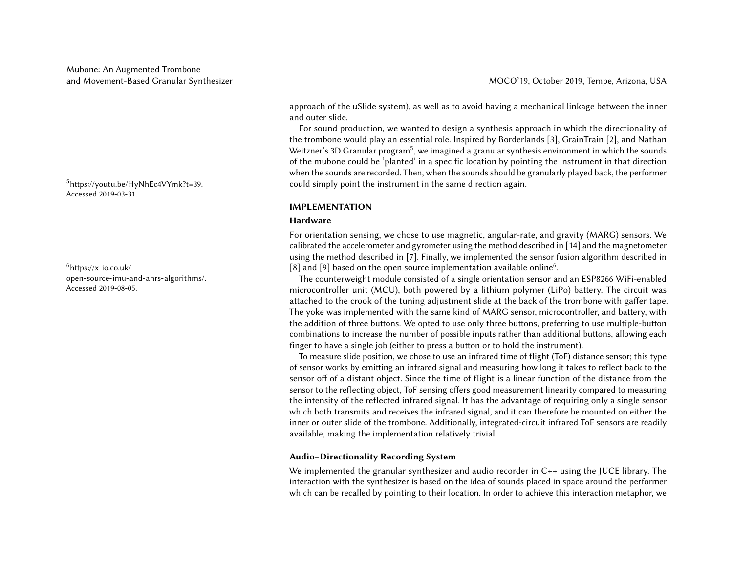Accessed 2019-03-31.

 $6$ [https://x-io.co.uk/](https://x-io.co.uk/open-source-imu-and-ahrs-algorithms/) [open-source-imu-and-ahrs-algorithms/.](https://x-io.co.uk/open-source-imu-and-ahrs-algorithms/) Accessed 2019-08-05.

approach of the uSlide system), as well as to avoid having a mechanical linkage between the inner

For sound production, we wanted to design a synthesis approach in which the directionality of the trombone would play an essential role. Inspired by Borderlands [\[3\]](#page-5-6), GrainTrain [\[2\]](#page-5-7), and Nathan Weitzner's 3D Granular program<sup>[5](#page-0-0)</sup>, we imagined a granular synthesis environment in which the sounds of the mubone could be 'planted' in a specific location by pointing the instrument in that direction when the sounds are recorded. Then, when the sounds should be granularly played back, the performer  $5$ [https://youtu.be/HyNhEc4VYmk?t=39.](https://youtu.be/HyNhEc4VYmk?t=39)  $\qquad \qquad \qquad \qquad$  could simply point the instrument in the same direction again.

# IMPLEMENTATION

#### Hardware

and outer slide.

For orientation sensing, we chose to use magnetic, angular-rate, and gravity (MARG) sensors. We calibrated the accelerometer and gyrometer using the method described in [\[14\]](#page-5-8) and the magnetometer using the method described in [\[7\]](#page-5-9). Finally, we implemented the sensor fusion algorithm described in [\[8\]](#page-5-10) and [\[9\]](#page-5-11) based on the open source implementation available online<sup>[6](#page-0-0)</sup>.

The counterweight module consisted of a single orientation sensor and an ESP8266 WiFi-enabled microcontroller unit (MCU), both powered by a lithium polymer (LiPo) battery. The circuit was attached to the crook of the tuning adjustment slide at the back of the trombone with gaffer tape. The yoke was implemented with the same kind of MARG sensor, microcontroller, and battery, with the addition of three buttons. We opted to use only three buttons, preferring to use multiple-button combinations to increase the number of possible inputs rather than additional buttons, allowing each finger to have a single job (either to press a button or to hold the instrument).

To measure slide position, we chose to use an infrared time of flight (ToF) distance sensor; this type of sensor works by emitting an infrared signal and measuring how long it takes to reflect back to the sensor off of a distant object. Since the time of flight is a linear function of the distance from the sensor to the reflecting object, ToF sensing offers good measurement linearity compared to measuring the intensity of the reflected infrared signal. It has the advantage of requiring only a single sensor which both transmits and receives the infrared signal, and it can therefore be mounted on either the inner or outer slide of the trombone. Additionally, integrated-circuit infrared ToF sensors are readily available, making the implementation relatively trivial.

# Audio–Directionality Recording System

We implemented the granular synthesizer and audio recorder in C++ using the JUCE library. The interaction with the synthesizer is based on the idea of sounds placed in space around the performer which can be recalled by pointing to their location. In order to achieve this interaction metaphor, we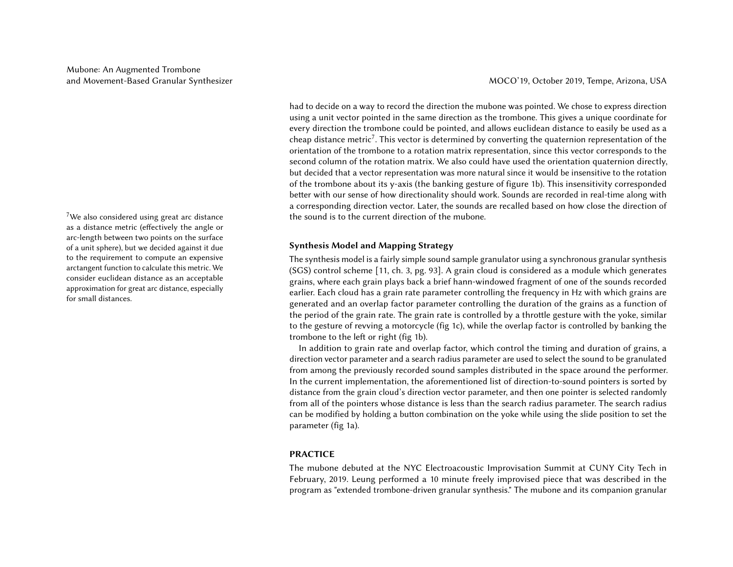as a distance metric (effectively the angle or arc-length between two points on the surface of a unit sphere), but we decided against it due to the requirement to compute an expensive arctangent function to calculate this metric. We consider euclidean distance as an acceptable approximation for great arc distance, especially for small distances.

had to decide on a way to record the direction the mubone was pointed. We chose to express direction using a unit vector pointed in the same direction as the trombone. This gives a unique coordinate for every direction the trombone could be pointed, and allows euclidean distance to easily be used as a cheap distance metric<sup>[7](#page-0-0)</sup>. This vector is determined by converting the quaternion representation of the orientation of the trombone to a rotation matrix representation, since this vector corresponds to the second column of the rotation matrix. We also could have used the orientation quaternion directly, but decided that a vector representation was more natural since it would be insensitive to the rotation of the trombone about its y-axis (the banking gesture of figure [1b\)](#page-4-0). This insensitivity corresponded better with our sense of how directionality should work. Sounds are recorded in real-time along with a corresponding direction vector. Later, the sounds are recalled based on how close the direction of <sup>7</sup>We also considered using great arc distance  $\frac{1}{2}$  the sound is to the current direction of the mubone.

# Synthesis Model and Mapping Strategy

The synthesis model is a fairly simple sound sample granulator using a synchronous granular synthesis (SGS) control scheme [\[11,](#page-5-12) ch. 3, pg. 93]. A grain cloud is considered as a module which generates grains, where each grain plays back a brief hann-windowed fragment of one of the sounds recorded earlier. Each cloud has a grain rate parameter controlling the frequency in Hz with which grains are generated and an overlap factor parameter controlling the duration of the grains as a function of the period of the grain rate. The grain rate is controlled by a throttle gesture with the yoke, similar to the gesture of revving a motorcycle (fig [1c\)](#page-4-0), while the overlap factor is controlled by banking the trombone to the left or right (fig [1b\)](#page-4-0).

In addition to grain rate and overlap factor, which control the timing and duration of grains, a direction vector parameter and a search radius parameter are used to select the sound to be granulated from among the previously recorded sound samples distributed in the space around the performer. In the current implementation, the aforementioned list of direction-to-sound pointers is sorted by distance from the grain cloud's direction vector parameter, and then one pointer is selected randomly from all of the pointers whose distance is less than the search radius parameter. The search radius can be modified by holding a button combination on the yoke while using the slide position to set the parameter (fig [1a\)](#page-4-0).

# PRACTICE

The mubone debuted at the NYC Electroacoustic Improvisation Summit at CUNY City Tech in February, 2019. Leung performed a 10 minute freely improvised piece that was described in the program as "extended trombone-driven granular synthesis." The mubone and its companion granular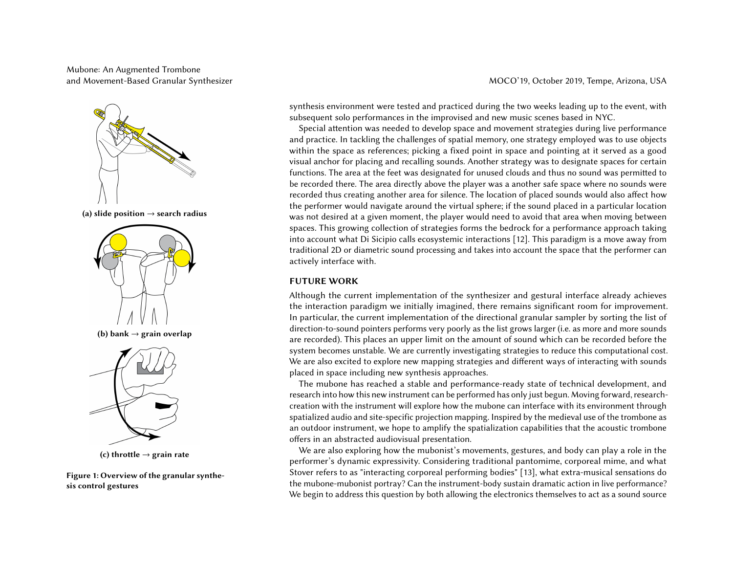# Mubone: An Augmented Trombone and Movement-Based Granular Synthesizer MOCO'19, October 2019, Tempe, Arizona, USA



(a) slide position  $\rightarrow$  search radius



Figure 1: Overview of the granular synthesis control gestures

synthesis environment were tested and practiced during the two weeks leading up to the event, with subsequent solo performances in the improvised and new music scenes based in NYC.

<span id="page-4-0"></span>Special attention was needed to develop space and movement strategies during live performance and practice. In tackling the challenges of spatial memory, one strategy employed was to use objects within the space as references; picking a fixed point in space and pointing at it served as a good visual anchor for placing and recalling sounds. Another strategy was to designate spaces for certain functions. The area at the feet was designated for unused clouds and thus no sound was permitted to be recorded there. The area directly above the player was a another safe space where no sounds were recorded thus creating another area for silence. The location of placed sounds would also affect how the performer would navigate around the virtual sphere; if the sound placed in a particular location was not desired at a given moment, the player would need to avoid that area when moving between spaces. This growing collection of strategies forms the bedrock for a performance approach taking into account what Di Sicipio calls ecosystemic interactions [\[12\]](#page-5-13). This paradigm is a move away from traditional 2D or diametric sound processing and takes into account the space that the performer can actively interface with.

# FUTURE WORK

Although the current implementation of the synthesizer and gestural interface already achieves the interaction paradigm we initially imagined, there remains significant room for improvement. In particular, the current implementation of the directional granular sampler by sorting the list of direction-to-sound pointers performs very poorly as the list grows larger (i.e. as more and more sounds are recorded). This places an upper limit on the amount of sound which can be recorded before the system becomes unstable. We are currently investigating strategies to reduce this computational cost. We are also excited to explore new mapping strategies and different ways of interacting with sounds placed in space including new synthesis approaches.

The mubone has reached a stable and performance-ready state of technical development, and research into how this new instrument can be performed has only just begun. Moving forward, researchcreation with the instrument will explore how the mubone can interface with its environment through spatialized audio and site-specific projection mapping. Inspired by the medieval use of the trombone as an outdoor instrument, we hope to amplify the spatialization capabilities that the acoustic trombone offers in an abstracted audiovisual presentation.

We are also exploring how the mubonist's movements, gestures, and body can play a role in the performer's dynamic expressivity. Considering traditional pantomime, corporeal mime, and what Stover refers to as "interacting corporeal performing bodies" [\[13\]](#page-5-14), what extra-musical sensations do the mubone-mubonist portray? Can the instrument-body sustain dramatic action in live performance? We begin to address this question by both allowing the electronics themselves to act as a sound source